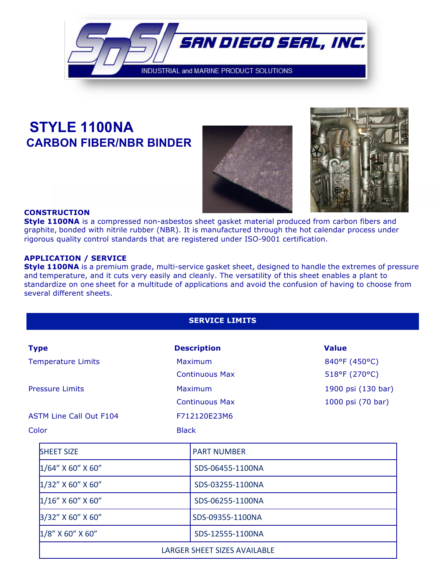

# **STYLE 1100NA CARBON FIBER/NBR BINDER**





#### **CONSTRUCTION**

**Style 1100NA** is a compressed non-asbestos sheet gasket material produced from carbon fibers and graphite, bonded with nitrile rubber (NBR). It is manufactured through the hot calendar process under rigorous quality control standards that are registered under ISO-9001 certification.

#### **APPLICATION / SERVICE**

**Style 1100NA** is a premium grade, multi-service gasket sheet, designed to handle the extremes of pressure and temperature, and it cuts very easily and cleanly. The versatility of this sheet enables a plant to standardize on one sheet for a multitude of applications and avoid the confusion of having to choose from several different sheets.

### **SERVICE LIMITS**

| <b>Type</b>                    | <b>Description</b>           | <b>Value</b>       |
|--------------------------------|------------------------------|--------------------|
| <b>Temperature Limits</b>      | Maximum                      | 840°F (450°C)      |
|                                | <b>Continuous Max</b>        | 518°F (270°C)      |
| <b>Pressure Limits</b>         | Maximum                      | 1900 psi (130 bar) |
|                                | <b>Continuous Max</b>        | 1000 psi (70 bar)  |
| <b>ASTM Line Call Out F104</b> | F712120E23M6                 |                    |
| Color                          | <b>Black</b>                 |                    |
| <b>SHEET SIZE</b>              | <b>PART NUMBER</b>           |                    |
| $1/64''$ X 60" X 60"           | SDS-06455-1100NA             |                    |
| $1/32''$ X 60" X 60"           | SDS-03255-1100NA             |                    |
| $1/16''$ X 60" X 60"           | SDS-06255-1100NA             |                    |
| 3/32" X 60" X 60"              | SDS-09355-1100NA             |                    |
| $1/8$ " X 60" X 60"            | SDS-12555-1100NA             |                    |
|                                | LARGER SHEET SIZES AVAILABLE |                    |